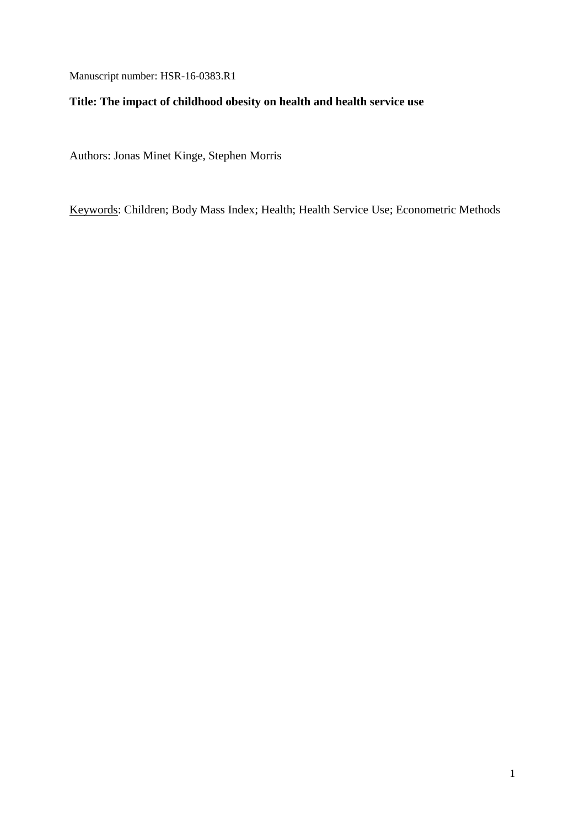Manuscript number: HSR-16-0383.R1

# **Title: The impact of childhood obesity on health and health service use**

Authors: Jonas Minet Kinge, Stephen Morris

Keywords: Children; Body Mass Index; Health; Health Service Use; Econometric Methods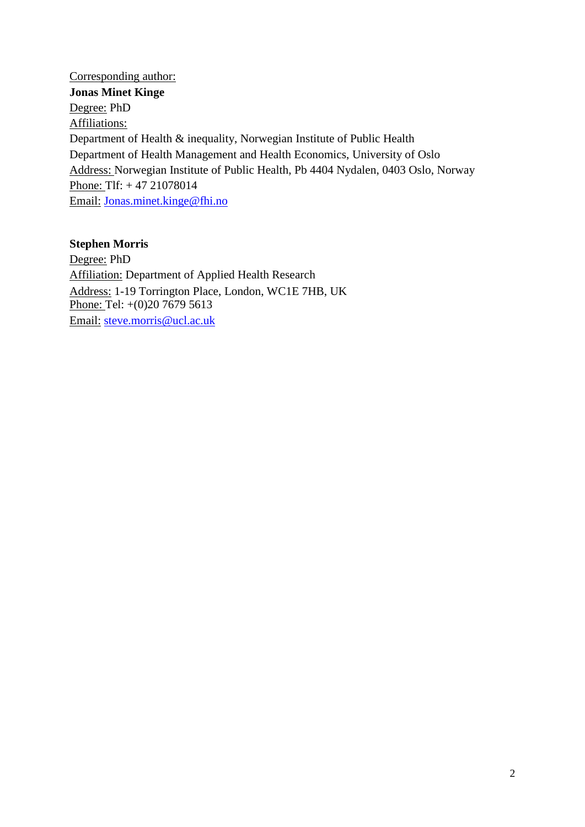Corresponding author: **Jonas Minet Kinge** Degree: PhD Affiliations: Department of Health & inequality, Norwegian Institute of Public Health Department of Health Management and Health Economics, University of Oslo Address: Norwegian Institute of Public Health, Pb 4404 Nydalen, 0403 Oslo, Norway Phone: Tlf: + 47 21078014 Email: [Jonas.minet.kinge@fhi.no](mailto:Jonas.minet.kinge@fhi.no)

# **Stephen Morris**

Degree: PhD Affiliation: Department of Applied Health Research Address: 1-19 Torrington Place, London, WC1E 7HB, UK Phone: Tel: +(0)20 7679 5613 Email: [steve.morris@ucl.ac.uk](mailto:steve.morris@ucl.ac.uk)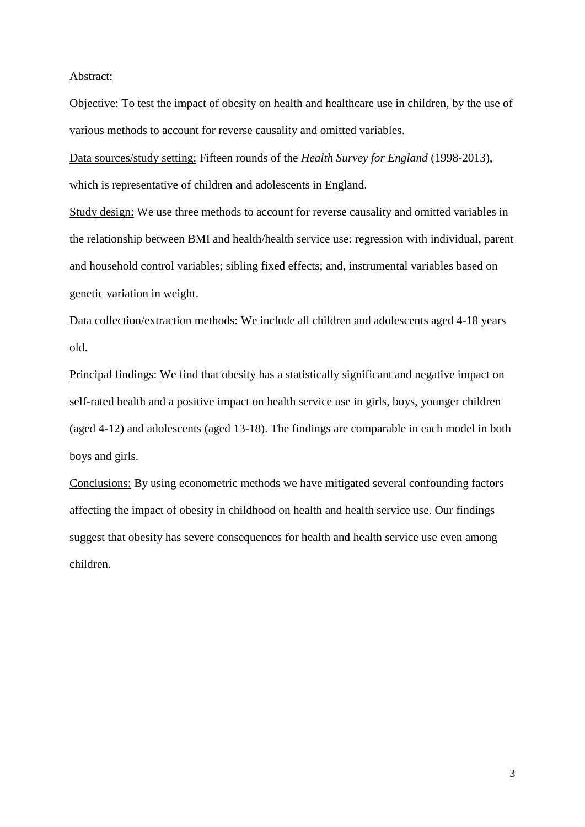### Abstract:

Objective: To test the impact of obesity on health and healthcare use in children, by the use of various methods to account for reverse causality and omitted variables.

Data sources/study setting: Fifteen rounds of the *Health Survey for England* (1998-2013), which is representative of children and adolescents in England.

Study design: We use three methods to account for reverse causality and omitted variables in the relationship between BMI and health/health service use: regression with individual, parent and household control variables; sibling fixed effects; and, instrumental variables based on genetic variation in weight.

Data collection/extraction methods: We include all children and adolescents aged 4-18 years old.

Principal findings: We find that obesity has a statistically significant and negative impact on self-rated health and a positive impact on health service use in girls, boys, younger children (aged 4-12) and adolescents (aged 13-18). The findings are comparable in each model in both boys and girls.

Conclusions: By using econometric methods we have mitigated several confounding factors affecting the impact of obesity in childhood on health and health service use. Our findings suggest that obesity has severe consequences for health and health service use even among children.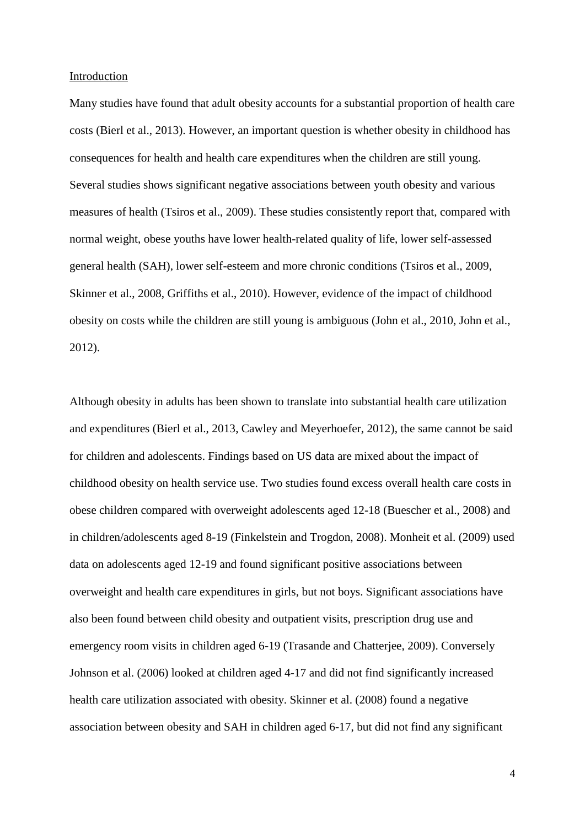### Introduction

Many studies have found that adult obesity accounts for a substantial proportion of health care costs [\(Bierl et al., 2013\)](#page-21-0). However, an important question is whether obesity in childhood has consequences for health and health care expenditures when the children are still young. Several studies shows significant negative associations between youth obesity and various measures of health [\(Tsiros et al., 2009\)](#page-23-0). These studies consistently report that, compared with normal weight, obese youths have lower health-related quality of life, lower self-assessed general health (SAH), lower self-esteem and more chronic conditions [\(Tsiros et al., 2009,](#page-23-0) [Skinner et al., 2008,](#page-23-1) [Griffiths et al., 2010\)](#page-21-1). However, evidence of the impact of childhood obesity on costs while the children are still young is ambiguous [\(John et al., 2010,](#page-22-0) [John et al.,](#page-22-1)  [2012\)](#page-22-1).

Although obesity in adults has been shown to translate into substantial health care utilization and expenditures [\(Bierl et al., 2013,](#page-21-0) [Cawley and Meyerhoefer, 2012\)](#page-21-2), the same cannot be said for children and adolescents. Findings based on US data are mixed about the impact of childhood obesity on health service use. Two studies found excess overall health care costs in obese children compared with overweight adolescents aged 12-18 [\(Buescher et al., 2008\)](#page-21-3) and in children/adolescents aged 8-19 [\(Finkelstein and Trogdon, 2008\)](#page-21-4). [Monheit et al. \(2009\)](#page-22-2) used data on adolescents aged 12-19 and found significant positive associations between overweight and health care expenditures in girls, but not boys. Significant associations have also been found between child obesity and outpatient visits, prescription drug use and emergency room visits in children aged 6-19 [\(Trasande and Chatterjee, 2009\)](#page-23-2). Conversely [Johnson et al. \(2006\)](#page-22-3) looked at children aged 4-17 and did not find significantly increased health care utilization associated with obesity. [Skinner et al. \(2008\)](#page-23-1) found a negative association between obesity and SAH in children aged 6-17, but did not find any significant

4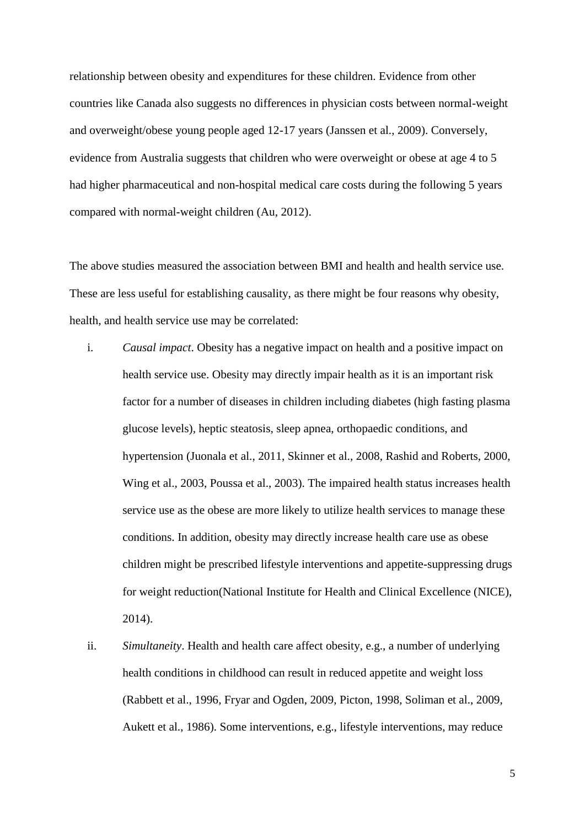relationship between obesity and expenditures for these children. Evidence from other countries like Canada also suggests no differences in physician costs between normal-weight and overweight/obese young people aged 12-17 years [\(Janssen et al., 2009\)](#page-22-4). Conversely, evidence from Australia suggests that children who were overweight or obese at age 4 to 5 had higher pharmaceutical and non-hospital medical care costs during the following 5 years compared with normal-weight children [\(Au, 2012\)](#page-21-5).

The above studies measured the association between BMI and health and health service use. These are less useful for establishing causality, as there might be four reasons why obesity, health, and health service use may be correlated:

- i. *Causal impact*. Obesity has a negative impact on health and a positive impact on health service use. Obesity may directly impair health as it is an important risk factor for a number of diseases in children including diabetes (high fasting plasma glucose levels), heptic steatosis, sleep apnea, orthopaedic conditions, and hypertension [\(Juonala et al., 2011,](#page-22-5) [Skinner et al., 2008,](#page-23-1) [Rashid and Roberts, 2000,](#page-23-3) [Wing et al., 2003,](#page-24-0) [Poussa et al., 2003\)](#page-22-6). The impaired health status increases health service use as the obese are more likely to utilize health services to manage these conditions. In addition, obesity may directly increase health care use as obese children might be prescribed lifestyle interventions and appetite-suppressing drugs for weight reduction[\(National Institute for Health and Clinical Excellence \(NICE\),](#page-22-7)  [2014\)](#page-22-7).
- ii. *Simultaneity*. Health and health care affect obesity, e.g., a number of underlying health conditions in childhood can result in reduced appetite and weight loss [\(Rabbett et al., 1996,](#page-23-4) Fryar and [Ogden, 2009,](#page-21-6) [Picton, 1998,](#page-22-8) [Soliman et al., 2009,](#page-23-5) [Aukett et al., 1986\)](#page-21-7). Some interventions, e.g., lifestyle interventions, may reduce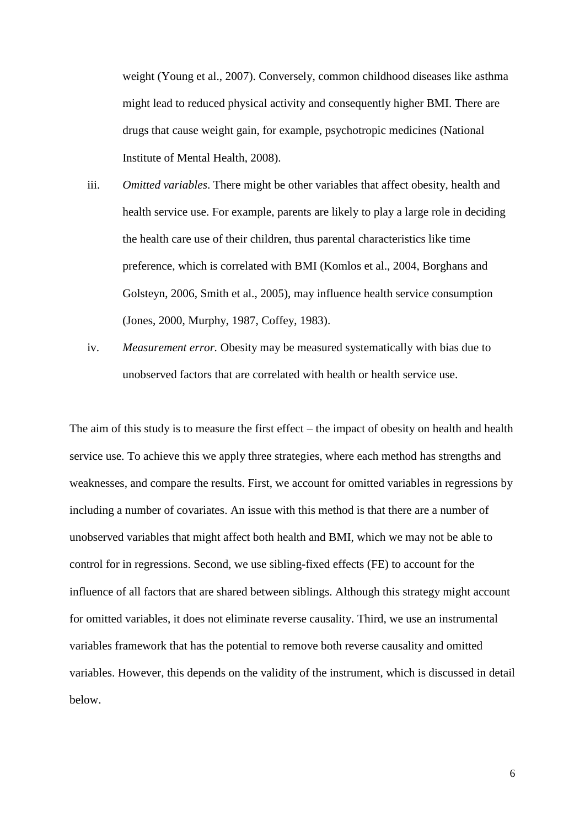weight [\(Young et al., 2007\)](#page-24-1). Conversely, common childhood diseases like asthma might lead to reduced physical activity and consequently higher BMI. There are drugs that cause weight gain, for example, psychotropic medicines [\(National](#page-22-9)  [Institute of Mental Health, 2008\)](#page-22-9).

- iii. *Omitted variables*. There might be other variables that affect obesity, health and health service use. For example, parents are likely to play a large role in deciding the health care use of their children, thus parental characteristics like time preference, which is correlated with BMI [\(Komlos et al., 2004,](#page-22-10) [Borghans and](#page-21-8)  [Golsteyn, 2006,](#page-21-8) [Smith et al., 2005\)](#page-23-6), may influence health service consumption [\(Jones,](#page-22-11) 2000, [Murphy, 1987,](#page-22-12) [Coffey, 1983\)](#page-21-9).
- iv. *Measurement error.* Obesity may be measured systematically with bias due to unobserved factors that are correlated with health or health service use.

The aim of this study is to measure the first effect – the impact of obesity on health and health service use. To achieve this we apply three strategies, where each method has strengths and weaknesses, and compare the results. First, we account for omitted variables in regressions by including a number of covariates. An issue with this method is that there are a number of unobserved variables that might affect both health and BMI, which we may not be able to control for in regressions. Second, we use sibling-fixed effects (FE) to account for the influence of all factors that are shared between siblings. Although this strategy might account for omitted variables, it does not eliminate reverse causality. Third, we use an instrumental variables framework that has the potential to remove both reverse causality and omitted variables. However, this depends on the validity of the instrument, which is discussed in detail below.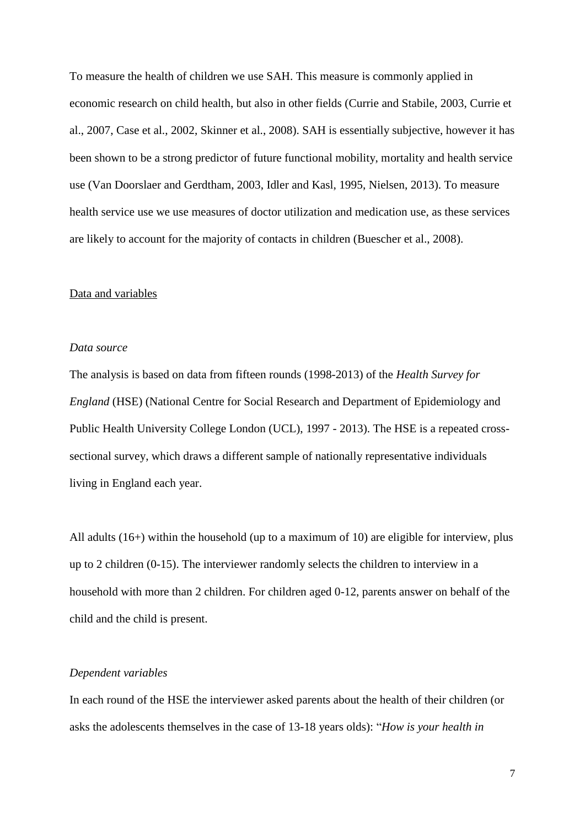To measure the health of children we use SAH. This measure is commonly applied in economic research on child health, but also in other fields [\(Currie and Stabile, 2003,](#page-21-10) [Currie et](#page-21-11)  [al., 2007,](#page-21-11) [Case et al., 2002,](#page-21-12) [Skinner et al., 2008\)](#page-23-1). SAH is essentially subjective, however it has been shown to be a strong predictor of future functional mobility, mortality and health service use [\(Van Doorslaer and Gerdtham, 2003,](#page-23-7) [Idler and Kasl, 1995,](#page-21-13) [Nielsen, 2013\)](#page-22-13). To measure health service use we use measures of doctor utilization and medication use, as these services are likely to account for the majority of contacts in children [\(Buescher et al., 2008\)](#page-21-3).

### Data and variables

#### *Data source*

The analysis is based on data from fifteen rounds (1998-2013) of the *Health Survey for England* (HSE) [\(National Centre for Social Research and Department of Epidemiology and](#page-22-14)  [Public Health University College London \(UCL\), 1997 -](#page-22-14) 2013). The HSE is a repeated crosssectional survey, which draws a different sample of nationally representative individuals living in England each year.

All adults (16+) within the household (up to a maximum of 10) are eligible for interview, plus up to 2 children (0-15). The interviewer randomly selects the children to interview in a household with more than 2 children. For children aged 0-12, parents answer on behalf of the child and the child is present.

## *Dependent variables*

In each round of the HSE the interviewer asked parents about the health of their children (or asks the adolescents themselves in the case of 13-18 years olds): "*How is your health in*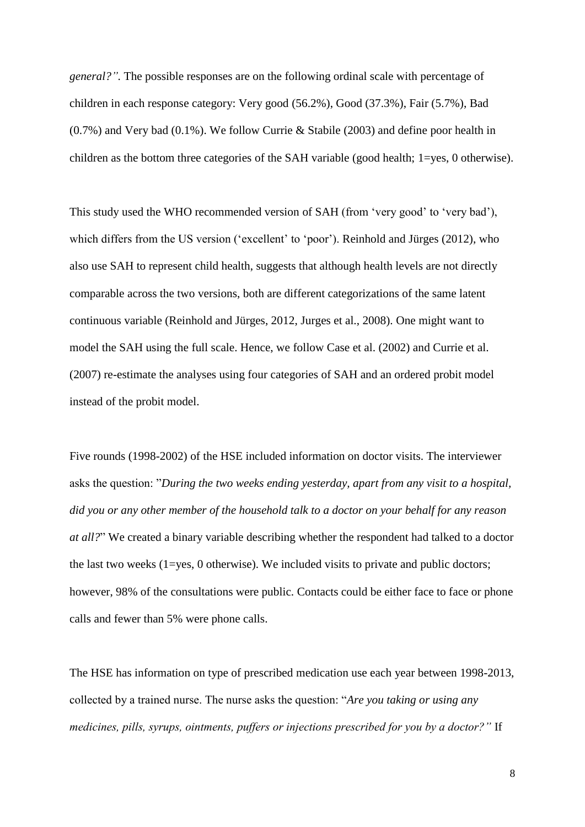*general?".* The possible responses are on the following ordinal scale with percentage of children in each response category: Very good (56.2%), Good (37.3%), Fair (5.7%), Bad (0.7%) and Very bad (0.1%). We follow Currie & Stabile (2003) and define poor health in children as the bottom three categories of the SAH variable (good health; 1=yes, 0 otherwise).

This study used the WHO recommended version of SAH (from 'very good' to 'very bad'), which differs from the US version ('excellent' to 'poor'). [Reinhold and Jürges \(2012\),](#page-23-8) who also use SAH to represent child health, suggests that although health levels are not directly comparable across the two versions, both are different categorizations of the same latent continuous variable [\(Reinhold and Jürges, 2012,](#page-23-8) [Jurges et al., 2008\)](#page-22-15). One might want to model the SAH using the full scale. Hence, we follow Case et al. (2002) and Currie et al. (2007) re-estimate the analyses using four categories of SAH and an ordered probit model instead of the probit model.

Five rounds (1998-2002) of the HSE included information on doctor visits. The interviewer asks the question: "*During the two weeks ending yesterday, apart from any visit to a hospital, did you or any other member of the household talk to a doctor on your behalf for any reason at all?*" We created a binary variable describing whether the respondent had talked to a doctor the last two weeks  $(1 = yes, 0$  otherwise). We included visits to private and public doctors; however, 98% of the consultations were public. Contacts could be either face to face or phone calls and fewer than 5% were phone calls.

The HSE has information on type of prescribed medication use each year between 1998-2013, collected by a trained nurse. The nurse asks the question: "*Are you taking or using any medicines, pills, syrups, ointments, puffers or injections prescribed for you by a doctor?"* If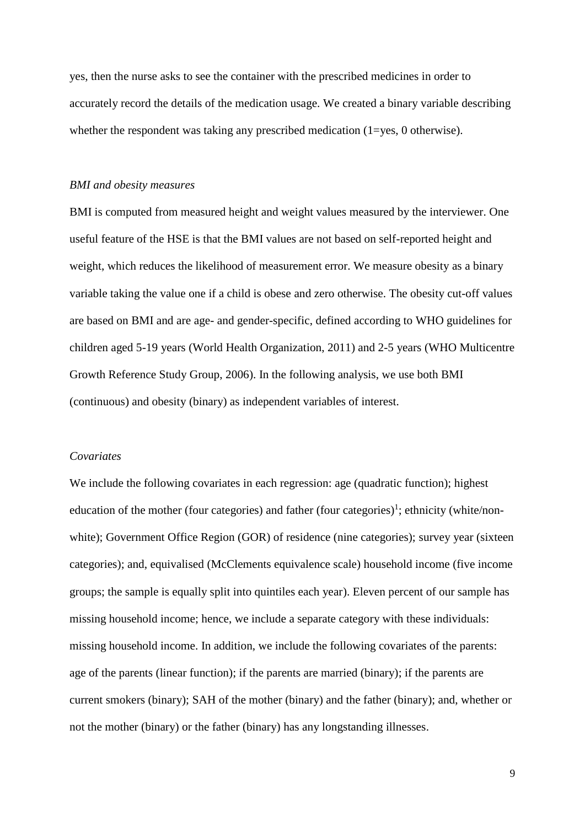yes, then the nurse asks to see the container with the prescribed medicines in order to accurately record the details of the medication usage. We created a binary variable describing whether the respondent was taking any prescribed medication (1=yes, 0 otherwise).

#### *BMI and obesity measures*

BMI is computed from measured height and weight values measured by the interviewer. One useful feature of the HSE is that the BMI values are not based on self-reported height and weight, which reduces the likelihood of measurement error. We measure obesity as a binary variable taking the value one if a child is obese and zero otherwise. The obesity cut-off values are based on BMI and are age- and gender-specific, defined according to WHO guidelines for children aged 5-19 years [\(World Health Organization, 2011\)](#page-24-2) and 2-5 years [\(WHO Multicentre](#page-23-9)  [Growth Reference Study Group, 2006\)](#page-23-9). In the following analysis, we use both BMI (continuous) and obesity (binary) as independent variables of interest.

## *Covariates*

We include the following covariates in each regression: age (quadratic function); highest education of the mother (four categories) and father (four categories)<sup>1</sup>; ethnicity (white/nonwhite); Government Office Region (GOR) of residence (nine categories); survey year (sixteen categories); and, equivalised (McClements equivalence scale) household income (five income groups; the sample is equally split into quintiles each year). Eleven percent of our sample has missing household income; hence, we include a separate category with these individuals: missing household income. In addition, we include the following covariates of the parents: age of the parents (linear function); if the parents are married (binary); if the parents are current smokers (binary); SAH of the mother (binary) and the father (binary); and, whether or not the mother (binary) or the father (binary) has any longstanding illnesses.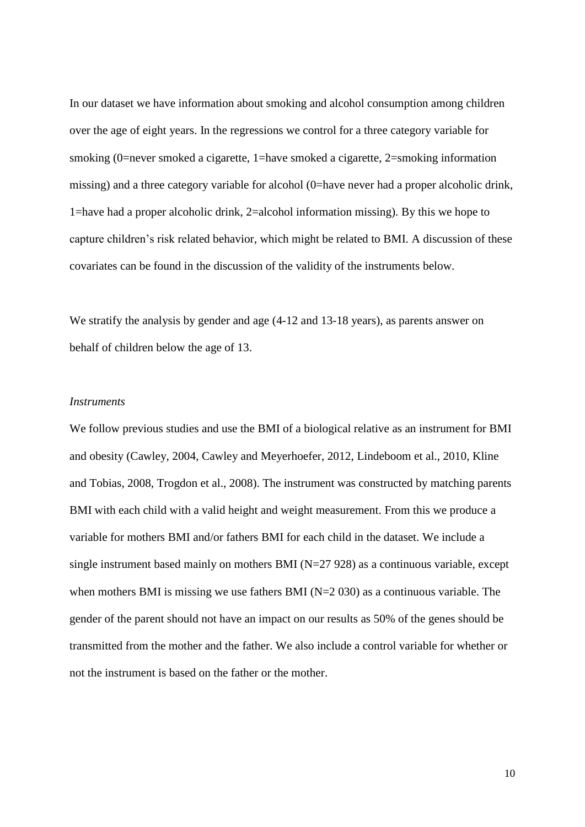In our dataset we have information about smoking and alcohol consumption among children over the age of eight years. In the regressions we control for a three category variable for smoking (0=never smoked a cigarette, 1=have smoked a cigarette, 2=smoking information missing) and a three category variable for alcohol (0=have never had a proper alcoholic drink, 1=have had a proper alcoholic drink, 2=alcohol information missing). By this we hope to capture children's risk related behavior, which might be related to BMI. A discussion of these covariates can be found in the discussion of the validity of the instruments below.

We stratify the analysis by gender and age  $(4-12 \text{ and } 13-18 \text{ years})$ , as parents answer on behalf of children below the age of 13.

## *Instruments*

We follow previous studies and use the BMI of a biological relative as an instrument for BMI and obesity [\(Cawley, 2004,](#page-21-14) [Cawley and Meyerhoefer, 2012,](#page-21-2) [Lindeboom et al., 2010,](#page-22-16) [Kline](#page-22-17)  [and Tobias, 2008,](#page-22-17) [Trogdon et al., 2008\)](#page-23-10). The instrument was constructed by matching parents BMI with each child with a valid height and weight measurement. From this we produce a variable for mothers BMI and/or fathers BMI for each child in the dataset. We include a single instrument based mainly on mothers BMI  $(N=27 928)$  as a continuous variable, except when mothers BMI is missing we use fathers BMI  $(N=2 030)$  as a continuous variable. The gender of the parent should not have an impact on our results as 50% of the genes should be transmitted from the mother and the father. We also include a control variable for whether or not the instrument is based on the father or the mother.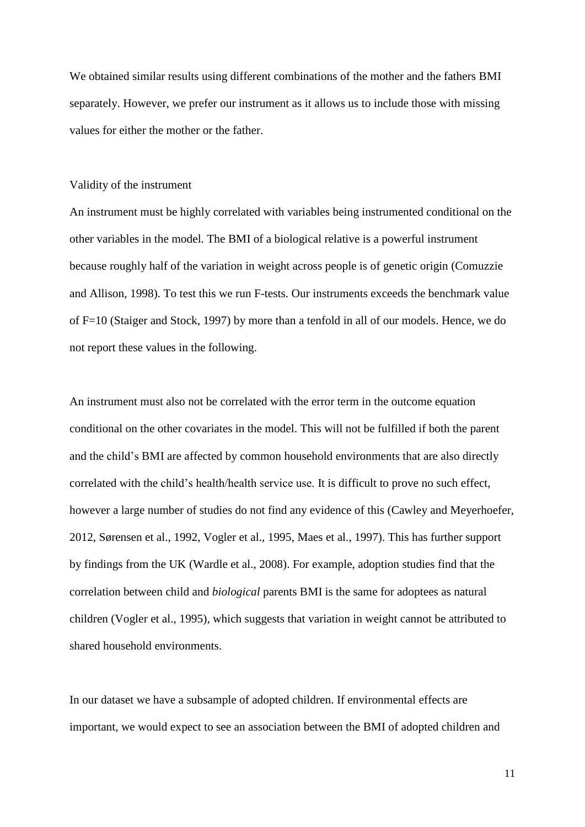We obtained similar results using different combinations of the mother and the fathers BMI separately. However, we prefer our instrument as it allows us to include those with missing values for either the mother or the father.

#### Validity of the instrument

An instrument must be highly correlated with variables being instrumented conditional on the other variables in the model. The BMI of a biological relative is a powerful instrument because roughly half of the variation in weight across people is of genetic origin [\(Comuzzie](#page-21-15)  [and Allison, 1998\)](#page-21-15). To test this we run F-tests. Our instruments exceeds the benchmark value of F=10 [\(Staiger and Stock, 1997\)](#page-23-11) by more than a tenfold in all of our models. Hence, we do not report these values in the following.

An instrument must also not be correlated with the error term in the outcome equation conditional on the other covariates in the model. This will not be fulfilled if both the parent and the child's BMI are affected by common household environments that are also directly correlated with the child's health/health service use. It is difficult to prove no such effect, however a large number of studies do not find any evidence of this [\(Cawley and Meyerhoefer,](#page-21-2)  [2012,](#page-21-2) [Sørensen et al., 1992,](#page-23-12) [Vogler et al., 1995,](#page-23-13) [Maes et al., 1997\)](#page-22-18). This has further support by findings from the UK [\(Wardle et al., 2008\)](#page-23-14). For example, adoption studies find that the correlation between child and *biological* parents BMI is the same for adoptees as natural children [\(Vogler et al., 1995\)](#page-23-13), which suggests that variation in weight cannot be attributed to shared household environments.

In our dataset we have a subsample of adopted children. If environmental effects are important, we would expect to see an association between the BMI of adopted children and

11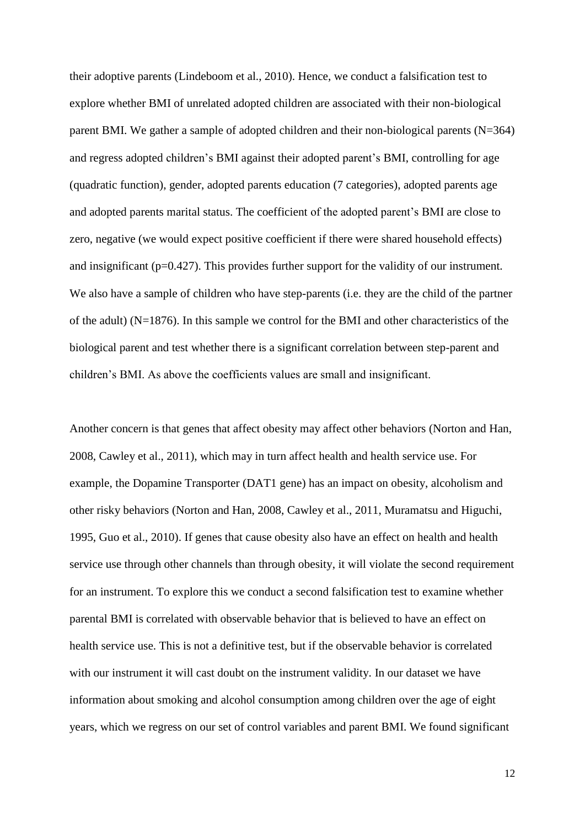their adoptive parents [\(Lindeboom et al., 2010\)](#page-22-16). Hence, we conduct a falsification test to explore whether BMI of unrelated adopted children are associated with their non-biological parent BMI. We gather a sample of adopted children and their non-biological parents (N=364) and regress adopted children's BMI against their adopted parent's BMI, controlling for age (quadratic function), gender, adopted parents education (7 categories), adopted parents age and adopted parents marital status. The coefficient of the adopted parent's BMI are close to zero, negative (we would expect positive coefficient if there were shared household effects) and insignificant (p=0.427). This provides further support for the validity of our instrument. We also have a sample of children who have step-parents (i.e. they are the child of the partner of the adult) (N=1876). In this sample we control for the BMI and other characteristics of the biological parent and test whether there is a significant correlation between step-parent and children's BMI. As above the coefficients values are small and insignificant.

Another concern is that genes that affect obesity may affect other behaviors [\(Norton and Han,](#page-22-19)  [2008,](#page-22-19) [Cawley et al., 2011\)](#page-21-16), which may in turn affect health and health service use. For example, the Dopamine Transporter (DAT1 gene) has an impact on obesity, alcoholism and other risky behaviors [\(Norton and Han, 2008,](#page-22-19) [Cawley et al., 2011,](#page-21-16) [Muramatsu and Higuchi,](#page-22-20)  [1995,](#page-22-20) [Guo et al., 2010\)](#page-21-17). If genes that cause obesity also have an effect on health and health service use through other channels than through obesity, it will violate the second requirement for an instrument. To explore this we conduct a second falsification test to examine whether parental BMI is correlated with observable behavior that is believed to have an effect on health service use. This is not a definitive test, but if the observable behavior is correlated with our instrument it will cast doubt on the instrument validity. In our dataset we have information about smoking and alcohol consumption among children over the age of eight years, which we regress on our set of control variables and parent BMI. We found significant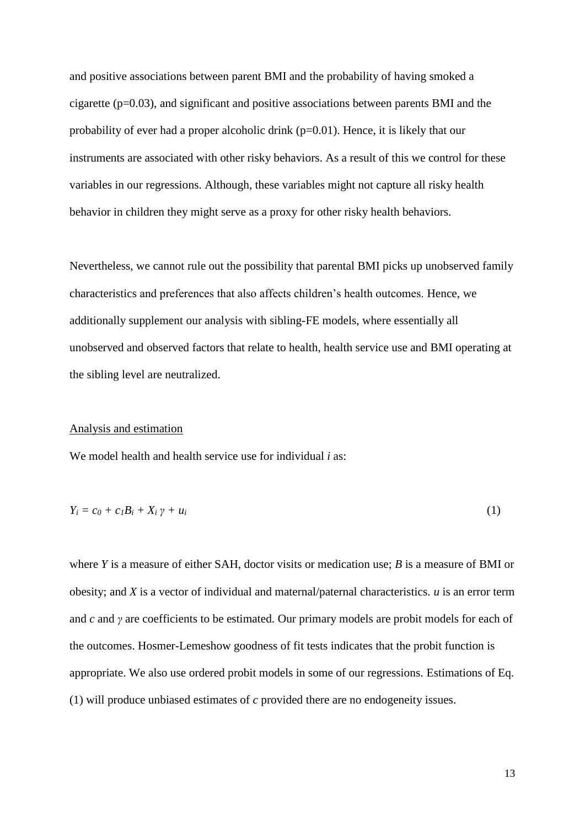and positive associations between parent BMI and the probability of having smoked a cigarette (p=0.03), and significant and positive associations between parents BMI and the probability of ever had a proper alcoholic drink (p=0.01). Hence, it is likely that our instruments are associated with other risky behaviors. As a result of this we control for these variables in our regressions. Although, these variables might not capture all risky health behavior in children they might serve as a proxy for other risky health behaviors.

Nevertheless, we cannot rule out the possibility that parental BMI picks up unobserved family characteristics and preferences that also affects children's health outcomes. Hence, we additionally supplement our analysis with sibling-FE models, where essentially all unobserved and observed factors that relate to health, health service use and BMI operating at the sibling level are neutralized.

# Analysis and estimation

We model health and health service use for individual *i* as:

$$
Y_i = c_0 + c_1 B_i + X_i \gamma + u_i \tag{1}
$$

where *Y* is a measure of either SAH, doctor visits or medication use; *B* is a measure of BMI or obesity; and *X* is a vector of individual and maternal/paternal characteristics. *u* is an error term and *c* and *γ* are coefficients to be estimated. Our primary models are probit models for each of the outcomes. Hosmer-Lemeshow goodness of fit tests indicates that the probit function is appropriate. We also use ordered probit models in some of our regressions. Estimations of Eq. (1) will produce unbiased estimates of *c* provided there are no endogeneity issues.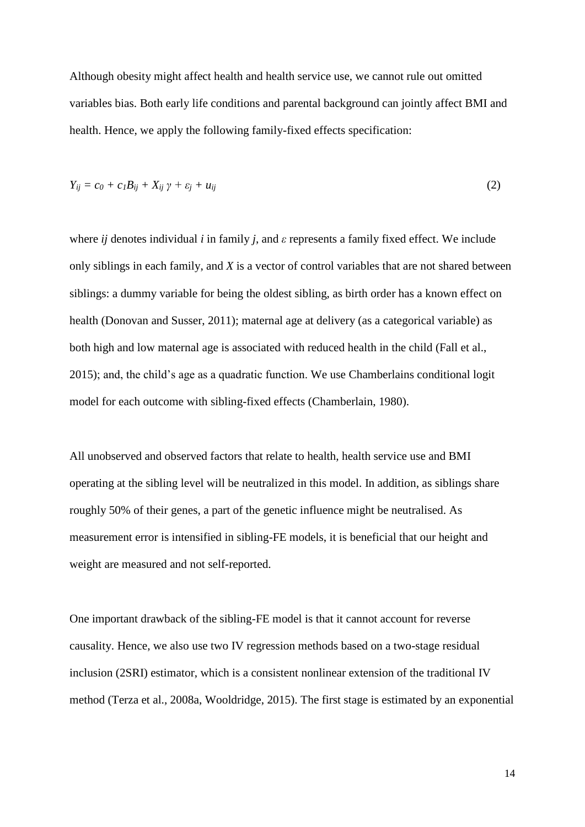Although obesity might affect health and health service use, we cannot rule out omitted variables bias. Both early life conditions and parental background can jointly affect BMI and health. Hence, we apply the following family-fixed effects specification:

$$
Y_{ij} = c_0 + c_1 B_{ij} + X_{ij} \gamma + \varepsilon_j + u_{ij}
$$
 (2)

where *ij* denotes individual *i* in family *j*, and *ε* represents a family fixed effect. We include only siblings in each family, and *X* is a vector of control variables that are not shared between siblings: a dummy variable for being the oldest sibling, as birth order has a known effect on health [\(Donovan and Susser, 2011\)](#page-21-18); maternal age at delivery (as a categorical variable) as both high and low maternal age is associated with reduced health in the child [\(Fall et al.,](#page-21-19)  [2015\)](#page-21-19); and, the child's age as a quadratic function. We use Chamberlains conditional logit model for each outcome with sibling-fixed effects [\(Chamberlain, 1980\)](#page-21-20).

All unobserved and observed factors that relate to health, health service use and BMI operating at the sibling level will be neutralized in this model. In addition, as siblings share roughly 50% of their genes, a part of the genetic influence might be neutralised. As measurement error is intensified in sibling-FE models, it is beneficial that our height and weight are measured and not self-reported.

One important drawback of the sibling-FE model is that it cannot account for reverse causality. Hence, we also use two IV regression methods based on a two-stage residual inclusion (2SRI) estimator, which is a consistent nonlinear extension of the traditional IV method [\(Terza et al., 2008a,](#page-23-15) [Wooldridge, 2015\)](#page-24-3). The first stage is estimated by an exponential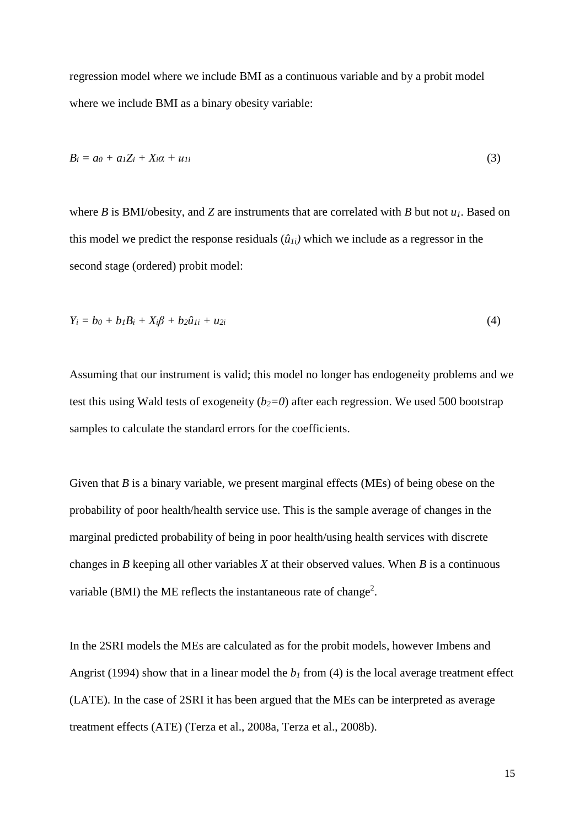regression model where we include BMI as a continuous variable and by a probit model where we include BMI as a binary obesity variable:

$$
B_i = a_0 + a_1 Z_i + X_i \alpha + u_{1i} \tag{3}
$$

where *B* is BMI/obesity, and *Z* are instruments that are correlated with *B* but not  $u_1$ . Based on this model we predict the response residuals  $(\hat{u}_{1i})$  which we include as a regressor in the second stage (ordered) probit model:

$$
Y_i = b_0 + b_1 B_i + X_i \beta + b_2 \hat{u}_{1i} + u_{2i}
$$
 (4)

Assuming that our instrument is valid; this model no longer has endogeneity problems and we test this using Wald tests of exogeneity  $(b_2=0)$  after each regression. We used 500 bootstrap samples to calculate the standard errors for the coefficients.

Given that *B* is a binary variable, we present marginal effects (MEs) of being obese on the probability of poor health/health service use. This is the sample average of changes in the marginal predicted probability of being in poor health/using health services with discrete changes in *B* keeping all other variables *X* at their observed values. When *B* is a continuous variable (BMI) the ME reflects the instantaneous rate of change<sup>2</sup>.

In the 2SRI models the MEs are calculated as for the probit models, however [Imbens and](#page-22-21)  Angrist (1994) show that in a linear model the  $b<sub>l</sub>$  from (4) is the local average treatment effect (LATE). In the case of 2SRI it has been argued that the MEs can be interpreted as average treatment effects (ATE) [\(Terza et al., 2008a,](#page-23-15) [Terza et al., 2008b\)](#page-23-16).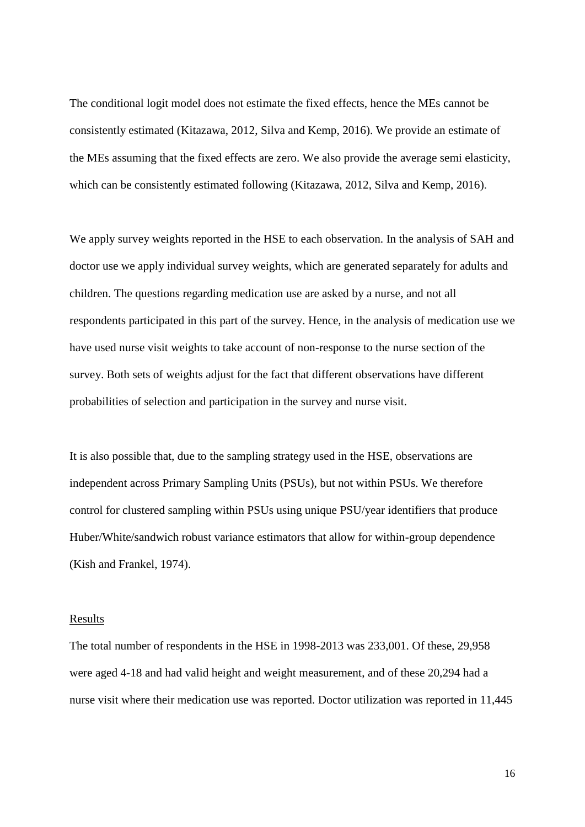The conditional logit model does not estimate the fixed effects, hence the MEs cannot be consistently estimated [\(Kitazawa, 2012,](#page-22-22) [Silva and Kemp, 2016\)](#page-23-17). We provide an estimate of the MEs assuming that the fixed effects are zero. We also provide the average semi elasticity, which can be consistently estimated following [\(Kitazawa, 2012,](#page-22-22) [Silva and Kemp, 2016\)](#page-23-17).

We apply survey weights reported in the HSE to each observation. In the analysis of SAH and doctor use we apply individual survey weights, which are generated separately for adults and children. The questions regarding medication use are asked by a nurse, and not all respondents participated in this part of the survey. Hence, in the analysis of medication use we have used nurse visit weights to take account of non-response to the nurse section of the survey. Both sets of weights adjust for the fact that different observations have different probabilities of selection and participation in the survey and nurse visit.

It is also possible that, due to the sampling strategy used in the HSE, observations are independent across Primary Sampling Units (PSUs), but not within PSUs. We therefore control for clustered sampling within PSUs using unique PSU/year identifiers that produce Huber/White/sandwich robust variance estimators that allow for within-group dependence [\(Kish and Frankel, 1974\)](#page-22-23).

### Results

The total number of respondents in the HSE in 1998-2013 was 233,001. Of these, 29,958 were aged 4-18 and had valid height and weight measurement, and of these 20,294 had a nurse visit where their medication use was reported. Doctor utilization was reported in 11,445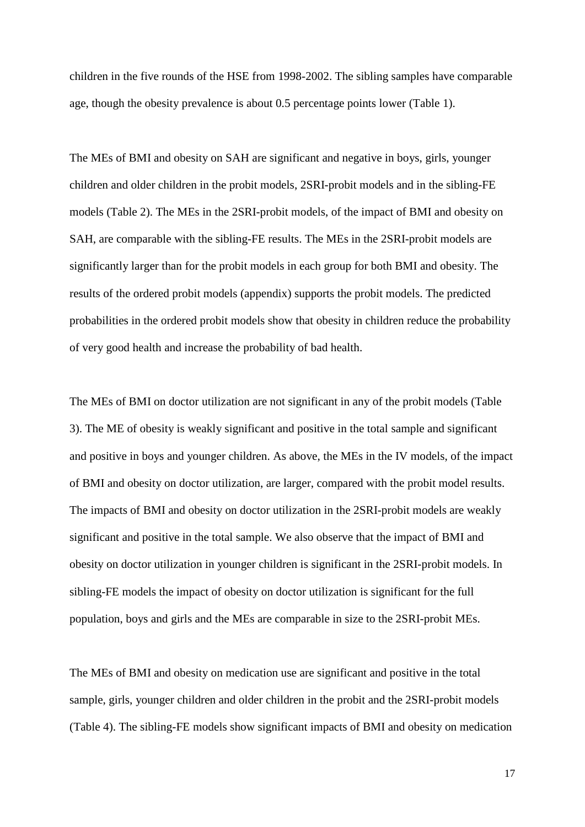children in the five rounds of the HSE from 1998-2002. The sibling samples have comparable age, though the obesity prevalence is about 0.5 percentage points lower (Table 1).

The MEs of BMI and obesity on SAH are significant and negative in boys, girls, younger children and older children in the probit models, 2SRI-probit models and in the sibling-FE models (Table 2). The MEs in the 2SRI-probit models, of the impact of BMI and obesity on SAH, are comparable with the sibling-FE results. The MEs in the 2SRI-probit models are significantly larger than for the probit models in each group for both BMI and obesity. The results of the ordered probit models (appendix) supports the probit models. The predicted probabilities in the ordered probit models show that obesity in children reduce the probability of very good health and increase the probability of bad health.

The MEs of BMI on doctor utilization are not significant in any of the probit models (Table 3). The ME of obesity is weakly significant and positive in the total sample and significant and positive in boys and younger children. As above, the MEs in the IV models, of the impact of BMI and obesity on doctor utilization, are larger, compared with the probit model results. The impacts of BMI and obesity on doctor utilization in the 2SRI-probit models are weakly significant and positive in the total sample. We also observe that the impact of BMI and obesity on doctor utilization in younger children is significant in the 2SRI-probit models. In sibling-FE models the impact of obesity on doctor utilization is significant for the full population, boys and girls and the MEs are comparable in size to the 2SRI-probit MEs.

The MEs of BMI and obesity on medication use are significant and positive in the total sample, girls, younger children and older children in the probit and the 2SRI-probit models (Table 4). The sibling-FE models show significant impacts of BMI and obesity on medication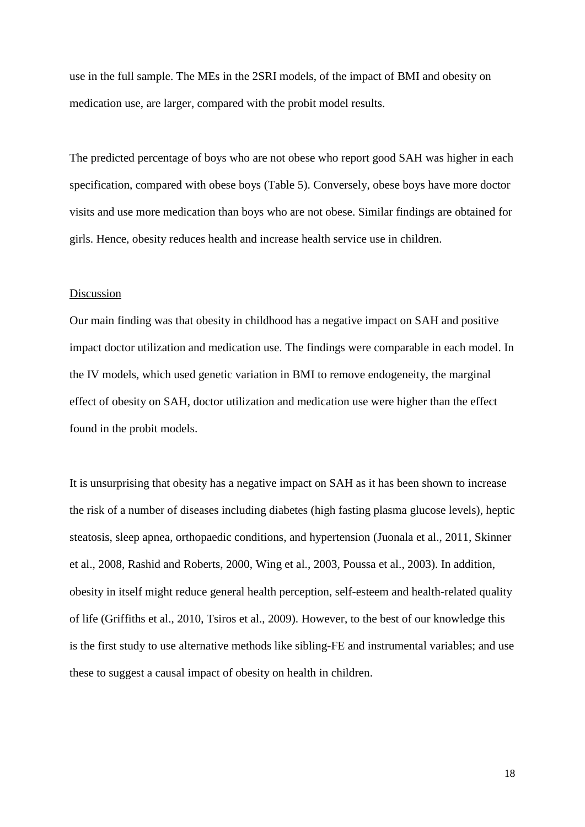use in the full sample. The MEs in the 2SRI models, of the impact of BMI and obesity on medication use, are larger, compared with the probit model results.

The predicted percentage of boys who are not obese who report good SAH was higher in each specification, compared with obese boys (Table 5). Conversely, obese boys have more doctor visits and use more medication than boys who are not obese. Similar findings are obtained for girls. Hence, obesity reduces health and increase health service use in children.

### **Discussion**

Our main finding was that obesity in childhood has a negative impact on SAH and positive impact doctor utilization and medication use. The findings were comparable in each model. In the IV models, which used genetic variation in BMI to remove endogeneity, the marginal effect of obesity on SAH, doctor utilization and medication use were higher than the effect found in the probit models.

It is unsurprising that obesity has a negative impact on SAH as it has been shown to increase the risk of a number of diseases including diabetes (high fasting plasma glucose levels), heptic steatosis, sleep apnea, orthopaedic conditions, and hypertension [\(Juonala et al., 2011,](#page-22-5) [Skinner](#page-23-1)  [et al., 2008,](#page-23-1) [Rashid and Roberts, 2000,](#page-23-3) [Wing et al., 2003,](#page-24-0) [Poussa et al., 2003\)](#page-22-6). In addition, obesity in itself might reduce general health perception, self-esteem and health-related quality of life [\(Griffiths et al., 2010,](#page-21-1) [Tsiros et al., 2009\)](#page-23-0). However, to the best of our knowledge this is the first study to use alternative methods like sibling-FE and instrumental variables; and use these to suggest a causal impact of obesity on health in children.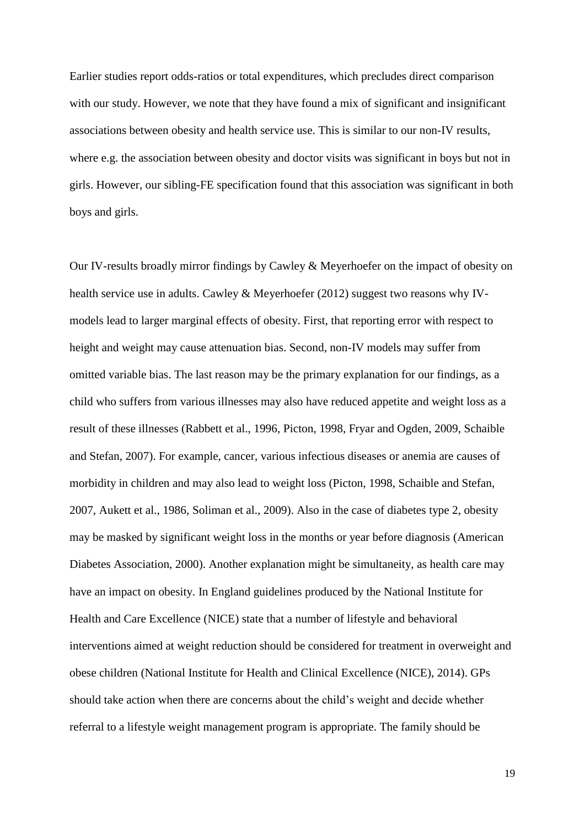Earlier studies report odds-ratios or total expenditures, which precludes direct comparison with our study. However, we note that they have found a mix of significant and insignificant associations between obesity and health service use. This is similar to our non-IV results, where e.g. the association between obesity and doctor visits was significant in boys but not in girls. However, our sibling-FE specification found that this association was significant in both boys and girls.

Our IV-results broadly mirror findings by Cawley & Meyerhoefer on the impact of obesity on health service use in adults. Cawley & Meyerhoefer (2012) suggest two reasons why IVmodels lead to larger marginal effects of obesity. First, that reporting error with respect to height and weight may cause attenuation bias. Second, non-IV models may suffer from omitted variable bias. The last reason may be the primary explanation for our findings, as a child who suffers from various illnesses may also have reduced appetite and weight loss as a result of these illnesses [\(Rabbett et al., 1996,](#page-23-4) [Picton, 1998,](#page-22-8) [Fryar and Ogden, 2009,](#page-21-6) [Schaible](#page-23-18)  [and Stefan, 2007\)](#page-23-18). For example, cancer, various infectious diseases or anemia are causes of morbidity in children and may also lead to weight loss [\(Picton, 1998,](#page-22-8) [Schaible and Stefan,](#page-23-18)  [2007,](#page-23-18) [Aukett et al., 1986,](#page-21-7) [Soliman et al., 2009\)](#page-23-5). Also in the case of diabetes type 2, obesity may be masked by significant weight loss in the months or year before diagnosis [\(American](#page-21-21)  [Diabetes Association, 2000\)](#page-21-21). Another explanation might be simultaneity, as health care may have an impact on obesity. In England guidelines produced by the National Institute for Health and Care Excellence (NICE) state that a number of lifestyle and behavioral interventions aimed at weight reduction should be considered for treatment in overweight and obese children [\(National Institute for Health and Clinical Excellence \(NICE\), 2014\)](#page-22-7). GPs should take action when there are concerns about the child's weight and decide whether referral to a lifestyle weight management program is appropriate. The family should be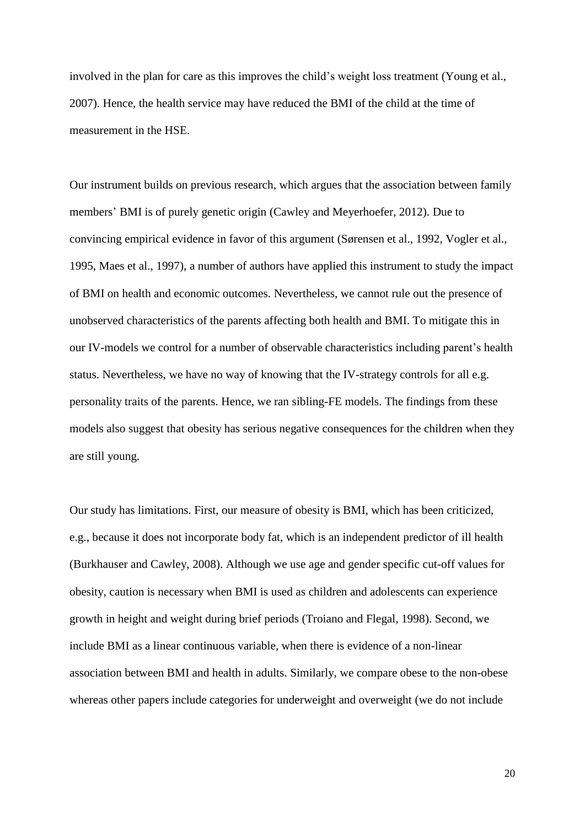involved in the plan for care as this improves the child's weight loss treatment [\(Young et al.,](#page-24-1)  [2007\)](#page-24-1). Hence, the health service may have reduced the BMI of the child at the time of measurement in the HSE.

Our instrument builds on previous research, which argues that the association between family members' BMI is of purely genetic origin [\(Cawley and Meyerhoefer, 2012\)](#page-21-2). Due to convincing empirical evidence in favor of this argument [\(Sørensen et](#page-23-12) al., 1992, [Vogler et al.,](#page-23-13)  [1995,](#page-23-13) [Maes et al., 1997\)](#page-22-18), a number of authors have applied this instrument to study the impact of BMI on health and economic outcomes. Nevertheless, we cannot rule out the presence of unobserved characteristics of the parents affecting both health and BMI. To mitigate this in our IV-models we control for a number of observable characteristics including parent's health status. Nevertheless, we have no way of knowing that the IV-strategy controls for all e.g. personality traits of the parents. Hence, we ran sibling-FE models. The findings from these models also suggest that obesity has serious negative consequences for the children when they are still young.

Our study has limitations. First, our measure of obesity is BMI, which has been criticized, e.g., because it does not incorporate body fat, which is an independent predictor of ill health [\(Burkhauser and Cawley, 2008\)](#page-21-22). Although we use age and gender specific cut-off values for obesity, caution is necessary when BMI is used as children and adolescents can experience growth in height and weight during brief periods [\(Troiano and Flegal, 1998\)](#page-23-19). Second, we include BMI as a linear continuous variable, when there is evidence of a non-linear association between BMI and health in adults. Similarly, we compare obese to the non-obese whereas other papers include categories for underweight and overweight (we do not include

20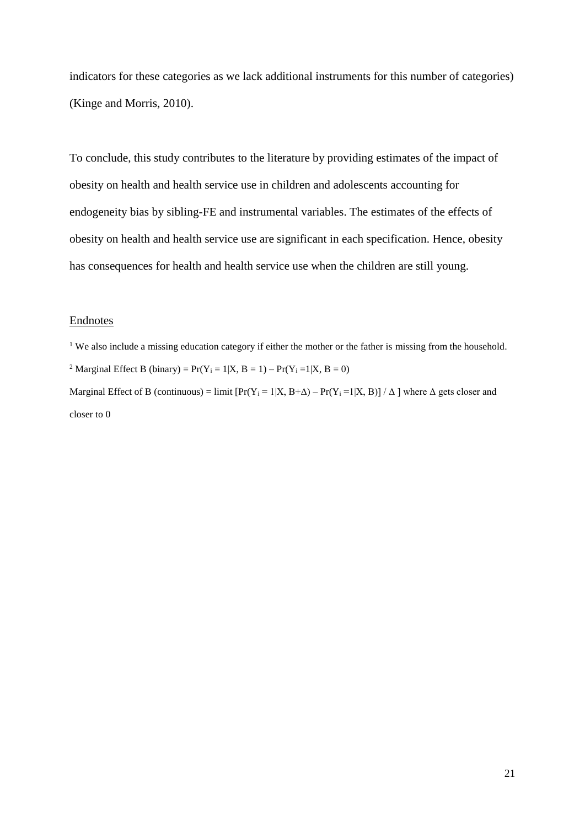indicators for these categories as we lack additional instruments for this number of categories) [\(Kinge and Morris, 2010\)](#page-22-24).

To conclude, this study contributes to the literature by providing estimates of the impact of obesity on health and health service use in children and adolescents accounting for endogeneity bias by sibling-FE and instrumental variables. The estimates of the effects of obesity on health and health service use are significant in each specification. Hence, obesity has consequences for health and health service use when the children are still young.

# Endnotes

<sup>1</sup> We also include a missing education category if either the mother or the father is missing from the household. <sup>2</sup> Marginal Effect B (binary) =  $Pr(Y_i = 1|X, B = 1) - Pr(Y_i = 1|X, B = 0)$ Marginal Effect of B (continuous) = limit  $[Pr(Y_i = 1 | X, B+A) - Pr(Y_i = 1 | X, B)] / \Delta$  where  $\Delta$  gets closer and closer to 0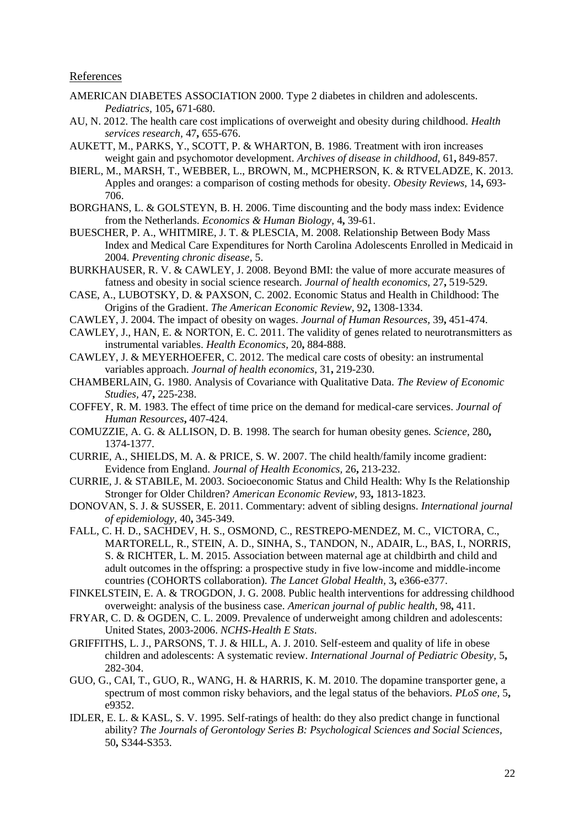References

- <span id="page-21-21"></span>AMERICAN DIABETES ASSOCIATION 2000. Type 2 diabetes in children and adolescents. *Pediatrics,* 105**,** 671-680.
- <span id="page-21-5"></span>AU, N. 2012. The health care cost implications of overweight and obesity during childhood. *Health services research,* 47**,** 655-676.
- <span id="page-21-7"></span>AUKETT, M., PARKS, Y., SCOTT, P. & WHARTON, B. 1986. Treatment with iron increases weight gain and psychomotor development. *Archives of disease in childhood,* 61**,** 849-857.
- <span id="page-21-0"></span>BIERL, M., MARSH, T., WEBBER, L., BROWN, M., MCPHERSON, K. & RTVELADZE, K. 2013. Apples and oranges: a comparison of costing methods for obesity. *Obesity Reviews,* 14**,** 693- 706.
- <span id="page-21-8"></span>BORGHANS, L. & GOLSTEYN, B. H. 2006. Time discounting and the body mass index: Evidence from the Netherlands. *Economics & Human Biology,* 4**,** 39-61.
- <span id="page-21-3"></span>BUESCHER, P. A., WHITMIRE, J. T. & PLESCIA, M. 2008. Relationship Between Body Mass Index and Medical Care Expenditures for North Carolina Adolescents Enrolled in Medicaid in 2004. *Preventing chronic disease,* 5.
- <span id="page-21-22"></span>BURKHAUSER, R. V. & CAWLEY, J. 2008. Beyond BMI: the value of more accurate measures of fatness and obesity in social science research. *Journal of health economics,* 27**,** 519-529.
- <span id="page-21-12"></span>CASE, A., LUBOTSKY, D. & PAXSON, C. 2002. Economic Status and Health in Childhood: The Origins of the Gradient. *The American Economic Review,* 92**,** 1308-1334.
- <span id="page-21-14"></span>CAWLEY, J. 2004. The impact of obesity on wages. *Journal of Human Resources,* 39**,** 451-474.
- <span id="page-21-16"></span>CAWLEY, J., HAN, E. & NORTON, E. C. 2011. The validity of genes related to neurotransmitters as instrumental variables. *Health Economics,* 20**,** 884-888.
- <span id="page-21-2"></span>CAWLEY, J. & MEYERHOEFER, C. 2012. The medical care costs of obesity: an instrumental variables approach. *Journal of health economics,* 31**,** 219-230.
- <span id="page-21-20"></span>CHAMBERLAIN, G. 1980. Analysis of Covariance with Qualitative Data. *The Review of Economic Studies,* 47**,** 225-238.
- <span id="page-21-9"></span>COFFEY, R. M. 1983. The effect of time price on the demand for medical-care services. *Journal of Human Resources***,** 407-424.
- <span id="page-21-15"></span>COMUZZIE, A. G. & ALLISON, D. B. 1998. The search for human obesity genes. *Science,* 280**,** 1374-1377.
- <span id="page-21-11"></span>CURRIE, A., SHIELDS, M. A. & PRICE, S. W. 2007. The child health/family income gradient: Evidence from England. *Journal of Health Economics,* 26**,** 213-232.
- <span id="page-21-10"></span>CURRIE, J. & STABILE, M. 2003. Socioeconomic Status and Child Health: Why Is the Relationship Stronger for Older Children? *American Economic Review,* 93**,** 1813-1823.
- <span id="page-21-18"></span>DONOVAN, S. J. & SUSSER, E. 2011. Commentary: advent of sibling designs. *International journal of epidemiology,* 40**,** 345-349.
- <span id="page-21-19"></span>FALL, C. H. D., SACHDEV, H. S., OSMOND, C., RESTREPO-MENDEZ, M. C., VICTORA, C., MARTORELL, R., STEIN, A. D., SINHA, S., TANDON, N., ADAIR, L., BAS, I., NORRIS, S. & RICHTER, L. M. 2015. Association between maternal age at childbirth and child and adult outcomes in the offspring: a prospective study in five low-income and middle-income countries (COHORTS collaboration). *The Lancet Global Health,* 3**,** e366-e377.
- <span id="page-21-4"></span>FINKELSTEIN, E. A. & TROGDON, J. G. 2008. Public health interventions for addressing childhood overweight: analysis of the business case. *American journal of public health,* 98**,** 411.
- <span id="page-21-6"></span>FRYAR, C. D. & OGDEN, C. L. 2009. Prevalence of underweight among children and adolescents: United States, 2003-2006. *NCHS-Health E Stats*.
- <span id="page-21-1"></span>GRIFFITHS, L. J., PARSONS, T. J. & HILL, A. J. 2010. Self‐esteem and quality of life in obese children and adolescents: A systematic review. *International Journal of Pediatric Obesity,* 5**,** 282-304.
- <span id="page-21-17"></span>GUO, G., CAI, T., GUO, R., WANG, H. & HARRIS, K. M. 2010. The dopamine transporter gene, a spectrum of most common risky behaviors, and the legal status of the behaviors. *PLoS one,* 5**,** e9352.
- <span id="page-21-13"></span>IDLER, E. L. & KASL, S. V. 1995. Self-ratings of health: do they also predict change in functional ability? *The Journals of Gerontology Series B: Psychological Sciences and Social Sciences,* 50**,** S344-S353.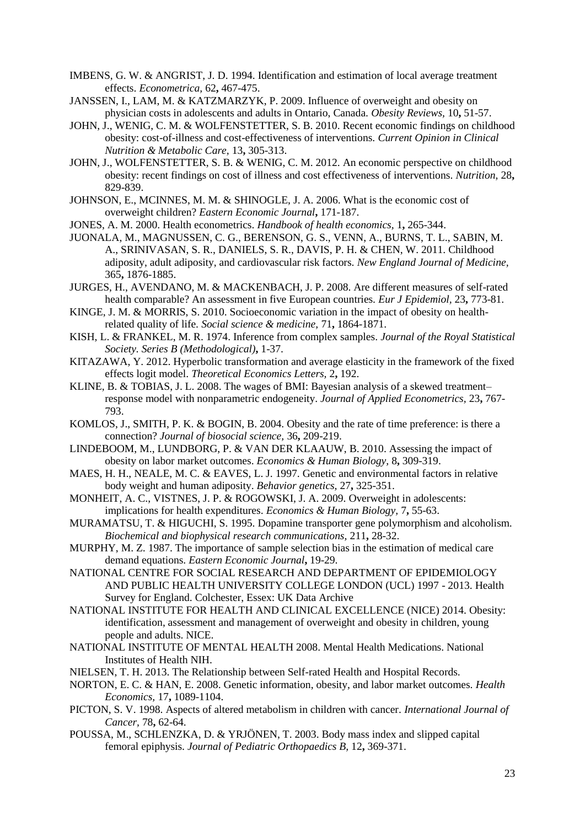- <span id="page-22-21"></span>IMBENS, G. W. & ANGRIST, J. D. 1994. Identification and estimation of local average treatment effects. *Econometrica,* 62**,** 467-475.
- <span id="page-22-4"></span>JANSSEN, I., LAM, M. & KATZMARZYK, P. 2009. Influence of overweight and obesity on physician costs in adolescents and adults in Ontario, Canada. *Obesity Reviews,* 10**,** 51-57.
- <span id="page-22-0"></span>JOHN, J., WENIG, C. M. & WOLFENSTETTER, S. B. 2010. Recent economic findings on childhood obesity: cost-of-illness and cost-effectiveness of interventions. *Current Opinion in Clinical Nutrition & Metabolic Care,* 13**,** 305-313.
- <span id="page-22-1"></span>JOHN, J., WOLFENSTETTER, S. B. & WENIG, C. M. 2012. An economic perspective on childhood obesity: recent findings on cost of illness and cost effectiveness of interventions. *Nutrition,* 28**,** 829-839.
- <span id="page-22-3"></span>JOHNSON, E., MCINNES, M. M. & SHINOGLE, J. A. 2006. What is the economic cost of overweight children? *Eastern Economic Journal***,** 171-187.
- <span id="page-22-11"></span>JONES, A. M. 2000. Health econometrics. *Handbook of health economics,* 1**,** 265-344.
- <span id="page-22-5"></span>JUONALA, M., MAGNUSSEN, C. G., BERENSON, G. S., VENN, A., BURNS, T. L., SABIN, M. A., SRINIVASAN, S. R., DANIELS, S. R., DAVIS, P. H. & CHEN, W. 2011. Childhood adiposity, adult adiposity, and cardiovascular risk factors. *New England Journal of Medicine,* 365**,** 1876-1885.
- <span id="page-22-15"></span>JURGES, H., AVENDANO, M. & MACKENBACH, J. P. 2008. Are different measures of self-rated health comparable? An assessment in five European countries. *Eur J Epidemiol,* 23**,** 773-81.
- <span id="page-22-24"></span>KINGE, J. M. & MORRIS, S. 2010. Socioeconomic variation in the impact of obesity on healthrelated quality of life. *Social science & medicine,* 71**,** 1864-1871.
- <span id="page-22-23"></span>KISH, L. & FRANKEL, M. R. 1974. Inference from complex samples. *Journal of the Royal Statistical Society. Series B (Methodological)***,** 1-37.
- <span id="page-22-22"></span>KITAZAWA, Y. 2012. Hyperbolic transformation and average elasticity in the framework of the fixed effects logit model. *Theoretical Economics Letters,* 2**,** 192.
- <span id="page-22-17"></span>KLINE, B. & TOBIAS, J. L. 2008. The wages of BMI: Bayesian analysis of a skewed treatment– response model with nonparametric endogeneity. *Journal of Applied Econometrics,* 23**,** 767- 793.
- <span id="page-22-10"></span>KOMLOS, J., SMITH, P. K. & BOGIN, B. 2004. Obesity and the rate of time preference: is there a connection? *Journal of biosocial science,* 36**,** 209-219.
- <span id="page-22-16"></span>LINDEBOOM, M., LUNDBORG, P. & VAN DER KLAAUW, B. 2010. Assessing the impact of obesity on labor market outcomes. *Economics & Human Biology,* 8**,** 309-319.
- <span id="page-22-18"></span>MAES, H. H., NEALE, M. C. & EAVES, L. J. 1997. Genetic and environmental factors in relative body weight and human adiposity. *Behavior genetics,* 27**,** 325-351.
- <span id="page-22-2"></span>MONHEIT, A. C., VISTNES, J. P. & ROGOWSKI, J. A. 2009. Overweight in adolescents: implications for health expenditures. *Economics & Human Biology,* 7**,** 55-63.
- <span id="page-22-20"></span>MURAMATSU, T. & HIGUCHI, S. 1995. Dopamine transporter gene polymorphism and alcoholism. *Biochemical and biophysical research communications,* 211**,** 28-32.
- <span id="page-22-12"></span>MURPHY, M. Z. 1987. The importance of sample selection bias in the estimation of medical care demand equations. *Eastern Economic Journal***,** 19-29.
- <span id="page-22-14"></span>NATIONAL CENTRE FOR SOCIAL RESEARCH AND DEPARTMENT OF EPIDEMIOLOGY AND PUBLIC HEALTH UNIVERSITY COLLEGE LONDON (UCL) 1997 - 2013. Health Survey for England. Colchester, Essex: UK Data Archive
- <span id="page-22-7"></span>NATIONAL INSTITUTE FOR HEALTH AND CLINICAL EXCELLENCE (NICE) 2014. Obesity: identification, assessment and management of overweight and obesity in children, young people and adults. NICE.
- <span id="page-22-9"></span>NATIONAL INSTITUTE OF MENTAL HEALTH 2008. Mental Health Medications. National Institutes of Health NIH.
- <span id="page-22-13"></span>NIELSEN, T. H. 2013. The Relationship between Self-rated Health and Hospital Records.
- <span id="page-22-19"></span>NORTON, E. C. & HAN, E. 2008. Genetic information, obesity, and labor market outcomes. *Health Economics,* 17**,** 1089-1104.
- <span id="page-22-8"></span>PICTON, S. V. 1998. Aspects of altered metabolism in children with cancer. *International Journal of Cancer,* 78**,** 62-64.
- <span id="page-22-6"></span>POUSSA, M., SCHLENZKA, D. & YRJÖNEN, T. 2003. Body mass index and slipped capital femoral epiphysis. *Journal of Pediatric Orthopaedics B,* 12**,** 369-371.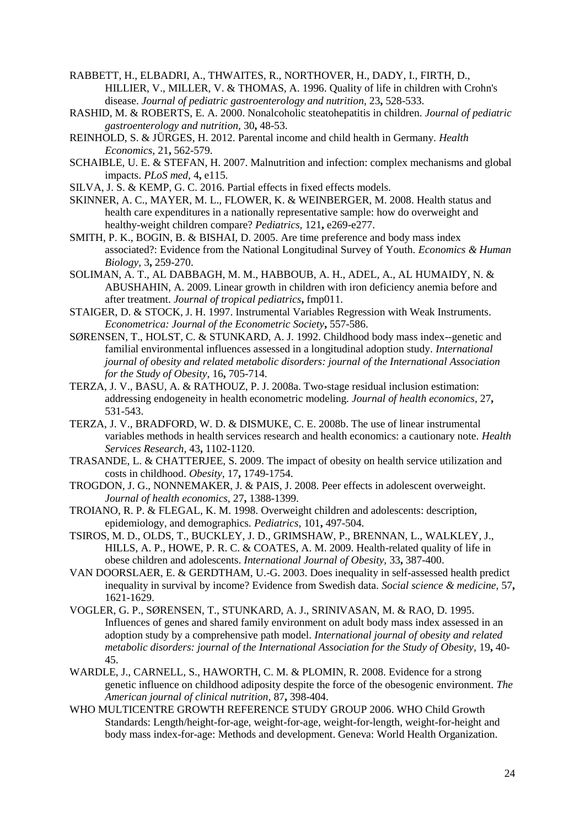<span id="page-23-4"></span>RABBETT, H., ELBADRI, A., THWAITES, R., NORTHOVER, H., DADY, I., FIRTH, D., HILLIER, V., MILLER, V. & THOMAS, A. 1996. Quality of life in children with Crohn's disease. *Journal of pediatric gastroenterology and nutrition,* 23**,** 528-533.

- <span id="page-23-3"></span>RASHID, M. & ROBERTS, E. A. 2000. Nonalcoholic steatohepatitis in children. *Journal of pediatric gastroenterology and nutrition,* 30**,** 48-53.
- <span id="page-23-8"></span>REINHOLD, S. & JÜRGES, H. 2012. Parental income and child health in Germany. *Health Economics,* 21**,** 562-579.
- <span id="page-23-18"></span>SCHAIBLE, U. E. & STEFAN, H. 2007. Malnutrition and infection: complex mechanisms and global impacts. *PLoS med,* 4**,** e115.
- <span id="page-23-17"></span>SILVA, J. S. & KEMP, G. C. 2016. Partial effects in fixed effects models.
- <span id="page-23-1"></span>SKINNER, A. C., MAYER, M. L., FLOWER, K. & WEINBERGER, M. 2008. Health status and health care expenditures in a nationally representative sample: how do overweight and healthy-weight children compare? *Pediatrics,* 121**,** e269-e277.
- <span id="page-23-6"></span>SMITH, P. K., BOGIN, B. & BISHAI, D. 2005. Are time preference and body mass index associated?: Evidence from the National Longitudinal Survey of Youth. *Economics & Human Biology,* 3**,** 259-270.
- <span id="page-23-5"></span>SOLIMAN, A. T., AL DABBAGH, M. M., HABBOUB, A. H., ADEL, A., AL HUMAIDY, N. & ABUSHAHIN, A. 2009. Linear growth in children with iron deficiency anemia before and after treatment. *Journal of tropical pediatrics***,** fmp011.
- <span id="page-23-11"></span>STAIGER, D. & STOCK, J. H. 1997. Instrumental Variables Regression with Weak Instruments. *Econometrica: Journal of the Econometric Society***,** 557-586.
- <span id="page-23-12"></span>SØRENSEN, T., HOLST, C. & STUNKARD, A. J. 1992. Childhood body mass index--genetic and familial environmental influences assessed in a longitudinal adoption study. *International journal of obesity and related metabolic disorders: journal of the International Association for the Study of Obesity,* 16**,** 705-714.
- <span id="page-23-15"></span>TERZA, J. V., BASU, A. & RATHOUZ, P. J. 2008a. Two-stage residual inclusion estimation: addressing endogeneity in health econometric modeling. *Journal of health economics,* 27**,** 531-543.
- <span id="page-23-16"></span>TERZA, J. V., BRADFORD, W. D. & DISMUKE, C. E. 2008b. The use of linear instrumental variables methods in health services research and health economics: a cautionary note. *Health Services Research,* 43**,** 1102-1120.
- <span id="page-23-2"></span>TRASANDE, L. & CHATTERJEE, S. 2009. The impact of obesity on health service utilization and costs in childhood. *Obesity,* 17**,** 1749-1754.
- <span id="page-23-10"></span>TROGDON, J. G., NONNEMAKER, J. & PAIS, J. 2008. Peer effects in adolescent overweight. *Journal of health economics,* 27**,** 1388-1399.
- <span id="page-23-19"></span>TROIANO, R. P. & FLEGAL, K. M. 1998. Overweight children and adolescents: description, epidemiology, and demographics. *Pediatrics,* 101**,** 497-504.
- <span id="page-23-0"></span>TSIROS, M. D., OLDS, T., BUCKLEY, J. D., GRIMSHAW, P., BRENNAN, L., WALKLEY, J., HILLS, A. P., HOWE, P. R. C. & COATES, A. M. 2009. Health-related quality of life in obese children and adolescents. *International Journal of Obesity,* 33**,** 387-400.
- <span id="page-23-7"></span>VAN DOORSLAER, E. & GERDTHAM, U.-G. 2003. Does inequality in self-assessed health predict inequality in survival by income? Evidence from Swedish data. *Social science & medicine,* 57**,** 1621-1629.
- <span id="page-23-13"></span>VOGLER, G. P., SØRENSEN, T., STUNKARD, A. J., SRINIVASAN, M. & RAO, D. 1995. Influences of genes and shared family environment on adult body mass index assessed in an adoption study by a comprehensive path model. *International journal of obesity and related metabolic disorders: journal of the International Association for the Study of Obesity,* 19**,** 40- 45.
- <span id="page-23-14"></span>WARDLE, J., CARNELL, S., HAWORTH, C. M. & PLOMIN, R. 2008. Evidence for a strong genetic influence on childhood adiposity despite the force of the obesogenic environment. *The American journal of clinical nutrition,* 87**,** 398-404.
- <span id="page-23-9"></span>WHO MULTICENTRE GROWTH REFERENCE STUDY GROUP 2006. WHO Child Growth Standards: Length/height-for-age, weight-for-age, weight-for-length, weight-for-height and body mass index-for-age: Methods and development. Geneva: World Health Organization.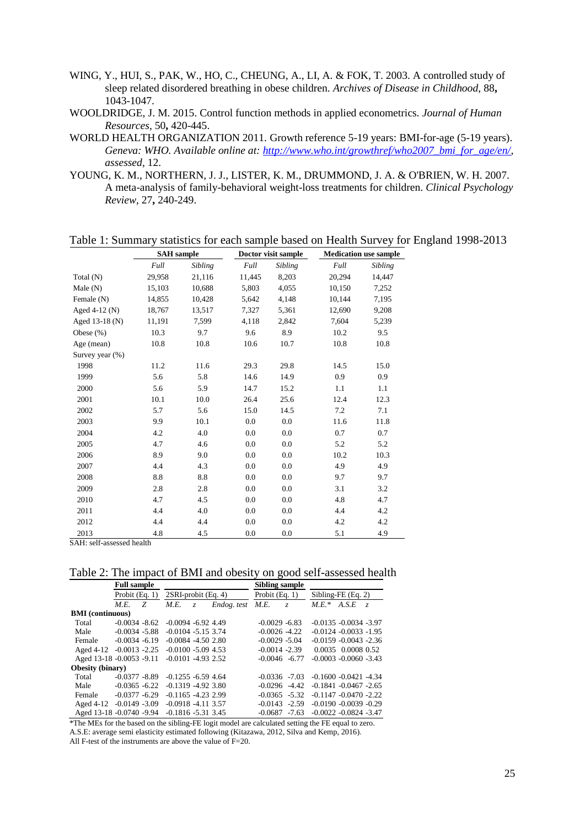- <span id="page-24-0"></span>WING, Y., HUI, S., PAK, W., HO, C., CHEUNG, A., LI, A. & FOK, T. 2003. A controlled study of sleep related disordered breathing in obese children. *Archives of Disease in Childhood,* 88**,** 1043-1047.
- <span id="page-24-3"></span>WOOLDRIDGE, J. M. 2015. Control function methods in applied econometrics. *Journal of Human Resources,* 50**,** 420-445.
- <span id="page-24-2"></span>WORLD HEALTH ORGANIZATION 2011. Growth reference 5-19 years: BMI-for-age (5-19 years). *Geneva: WHO. Available online at: [http://www.who.int/growthref/who2007\\_bmi\\_for\\_age/en/,](http://www.who.int/growthref/who2007_bmi_for_age/en/) assessed,* 12.
- <span id="page-24-1"></span>YOUNG, K. M., NORTHERN, J. J., LISTER, K. M., DRUMMOND, J. A. & O'BRIEN, W. H. 2007. A meta-analysis of family-behavioral weight-loss treatments for children. *Clinical Psychology Review,* 27**,** 240-249.

Table 1: Summary statistics for each sample based on Health Survey for England 1998-2013

|                    | <b>SAH</b> sample |         |        | Doctor visit sample | <b>Medication use sample</b> |         |  |
|--------------------|-------------------|---------|--------|---------------------|------------------------------|---------|--|
|                    | Full              | Sibling | Full   | Sibling             | Full                         | Sibling |  |
| Total (N)          | 29,958            | 21,116  | 11,445 | 8,203               | 20,294                       | 14,447  |  |
| Male $(N)$         | 15,103            | 10,688  | 5,803  | 4,055               | 10,150                       | 7,252   |  |
| Female (N)         | 14,855            | 10,428  | 5,642  | 4,148               | 10,144                       | 7,195   |  |
| Aged $4-12(N)$     | 18,767            | 13,517  | 7,327  | 5,361               | 12,690                       | 9,208   |  |
| Aged 13-18 (N)     | 11,191            | 7,599   | 4,118  | 2,842               | 7,604                        | 5,239   |  |
| Obese $(\%)$       | 10.3              | 9.7     | 9.6    | 8.9                 | 10.2                         | 9.5     |  |
| Age (mean)         | 10.8              | 10.8    | 10.6   | 10.7                | 10.8                         | 10.8    |  |
| Survey year $(\%)$ |                   |         |        |                     |                              |         |  |
| 1998               | 11.2              | 11.6    | 29.3   | 29.8                | 14.5                         | 15.0    |  |
| 1999               | 5.6               | 5.8     | 14.6   | 14.9                | 0.9                          | 0.9     |  |
| 2000               | 5.6               | 5.9     | 14.7   | 15.2                | 1.1                          | 1.1     |  |
| 2001               | 10.1              | 10.0    | 26.4   | 25.6                | 12.4                         | 12.3    |  |
| 2002               | 5.7               | 5.6     | 15.0   | 14.5                | 7.2                          | 7.1     |  |
| 2003               | 9.9               | 10.1    | 0.0    | 0.0                 | 11.6                         | 11.8    |  |
| 2004               | 4.2               | 4.0     | 0.0    | 0.0                 | 0.7                          | 0.7     |  |
| 2005               | 4.7               | 4.6     | 0.0    | 0.0                 | 5.2                          | 5.2     |  |
| 2006               | 8.9               | 9.0     | 0.0    | 0.0                 | 10.2                         | 10.3    |  |
| 2007               | 4.4               | 4.3     | 0.0    | 0.0                 | 4.9                          | 4.9     |  |
| 2008               | 8.8               | 8.8     | 0.0    | 0.0                 | 9.7                          | 9.7     |  |
| 2009               | 2.8               | 2.8     | 0.0    | 0.0                 | 3.1                          | 3.2     |  |
| 2010               | 4.7               | 4.5     | 0.0    | 0.0                 | 4.8                          | 4.7     |  |
| 2011               | 4.4               | 4.0     | 0.0    | 0.0                 | 4.4                          | 4.2     |  |
| 2012               | 4.4               | 4.4     | 0.0    | 0.0                 | 4.2                          | 4.2     |  |
| 2013               | 4.8               | 4.5     | 0.0    | 0.0                 | 5.1                          | 4.9     |  |

SAH: self-assessed health

Table 2: The impact of BMI and obesity on good self-assessed health

|                          | <b>Full sample</b> |   |                       |   |                  | <b>Sibling sample</b> |                      |                           |                           |   |
|--------------------------|--------------------|---|-----------------------|---|------------------|-----------------------|----------------------|---------------------------|---------------------------|---|
|                          | Probit $(Eq. 1)$   |   | 2SRI-probit (Eq. 4)   |   | Probit $(Eq. 1)$ |                       | Sibling-FE $(Eq. 2)$ |                           |                           |   |
|                          | <i>M.E.</i>        | Z | <i>M.E.</i>           | Z | Endog. test M.E. |                       | Z                    | $M.E. *$                  | A.S.E                     | Z |
| <b>BMI</b> (continuous)  |                    |   |                       |   |                  |                       |                      |                           |                           |   |
| Total                    | $-0.0034 - 8.62$   |   | $-0.0094 - 6.92449$   |   |                  | $-0.0029 - 6.83$      |                      | $-0.0135 - 0.0034 - 3.97$ |                           |   |
| Male                     | $-0.0034 - 5.88$   |   | $-0.0104 - 5.15$ 3.74 |   |                  | $-0.0026 - 4.22$      |                      | $-0.0124 - 0.0033 - 1.95$ |                           |   |
| Female                   | $-0.0034 - 6.19$   |   | $-0.0084 - 4.50280$   |   |                  | $-0.0029 - 5.04$      |                      |                           | $-0.0159 - 0.0043 - 2.36$ |   |
| Aged 4-12 -0.0013 -2.25  |                    |   | $-0.0100 - 5.09$ 4.53 |   |                  | $-0.0014 - 2.39$      |                      |                           | 0.0035 0.0008 0.52        |   |
| Aged 13-18 -0.0053 -9.11 |                    |   | $-0.0101 - 4.9322.52$ |   |                  | $-0.0046 - 6.77$      |                      |                           | $-0.0003 - 0.0060 - 3.43$ |   |
| <b>Obesity (binary)</b>  |                    |   |                       |   |                  |                       |                      |                           |                           |   |
| Total                    | $-0.0377 - 8.89$   |   | $-0.1255 - 6.59$ 4.64 |   |                  | $-0.0336 - 7.03$      |                      |                           | $-0.1600 - 0.0421 - 4.34$ |   |
| Male                     | $-0.0365 - 6.22$   |   | $-0.1319 - 4.92$ 3.80 |   |                  | $-0.0296$             | $-4.42$              | $-0.1841 - 0.0467 - 2.65$ |                           |   |
| Female                   | $-0.0377 - 6.29$   |   | $-0.1165 - 4.2329$    |   |                  | $-0.0365 - 5.32$      |                      | $-0.1147 - 0.0470 - 2.22$ |                           |   |
| Aged 4-12 -0.0149 -3.09  |                    |   | $-0.0918 - 4.11$ 3.57 |   |                  | $-0.0143$             | $-2.59$              |                           | $-0.0190 - 0.0039 - 0.29$ |   |
| Aged 13-18 -0.0740 -9.94 |                    |   | $-0.1816 - 5.31$ 3.45 |   |                  | $-0.0687$             | $-7.63$              |                           | $-0.0022 - 0.0824 - 3.47$ |   |

\*The MEs for the based on the sibling-FE logit model are calculated setting the FE equal to zero. A.S.E: average semi elasticity estimated following [\(Kitazawa, 2012,](#page-22-22) [Silva and Kemp, 2016\)](#page-23-17).

All F-test of the instruments are above the value of F=20.